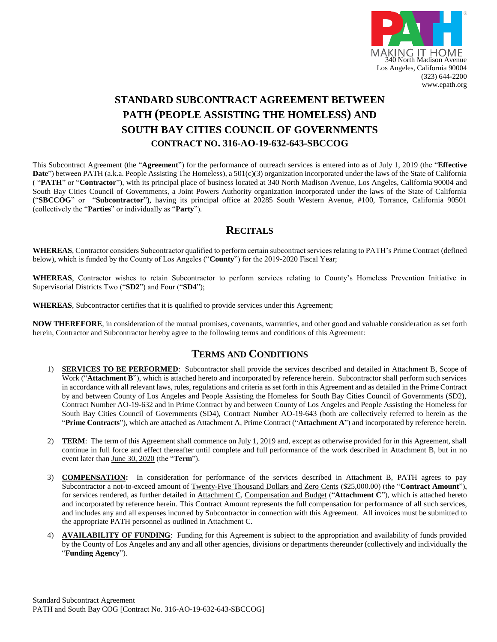

## **STANDARD SUBCONTRACT AGREEMENT BETWEEN PATH (PEOPLE ASSISTING THE HOMELESS) AND SOUTH BAY CITIES COUNCIL OF GOVERNMENTS CONTRACT NO. 316-AO-19-632-643-SBCCOG**

This Subcontract Agreement (the "**Agreement**") for the performance of outreach services is entered into as of July 1, 2019 (the "**Effective Date**") between PATH (a.k.a. People Assisting The Homeless), a 501(c)(3) organization incorporated under the laws of the State of California ( "**PATH**" or "**Contractor**"), with its principal place of business located at 340 North Madison Avenue, Los Angeles, California 90004 and South Bay Cities Council of Governments, a Joint Powers Authority organization incorporated under the laws of the State of California ("**SBCCOG**" or "**Subcontractor**"), having its principal office at 20285 South Western Avenue, #100, Torrance, California 90501 (collectively the "**Parties**" or individually as "**Party**").

### **RECITALS**

**WHEREAS**, Contractor considers Subcontractor qualified to perform certain subcontract services relating to PATH's Prime Contract (defined below), which is funded by the County of Los Angeles ("**County**") for the 2019-2020 Fiscal Year;

**WHEREAS**, Contractor wishes to retain Subcontractor to perform services relating to County's Homeless Prevention Initiative in Supervisorial Districts Two ("**SD2**") and Four ("**SD4**");

**WHEREAS**, Subcontractor certifies that it is qualified to provide services under this Agreement;

**NOW THEREFORE**, in consideration of the mutual promises, covenants, warranties, and other good and valuable consideration as set forth herein, Contractor and Subcontractor hereby agree to the following terms and conditions of this Agreement:

## **TERMS AND CONDITIONS**

- 1) **SERVICES TO BE PERFORMED**: Subcontractor shall provide the services described and detailed in Attachment B, Scope of Work ("**Attachment B**"), which is attached hereto and incorporated by reference herein. Subcontractor shall perform such services in accordance with all relevant laws, rules, regulations and criteria as set forth in this Agreement and as detailed in the Prime Contract by and between County of Los Angeles and People Assisting the Homeless for South Bay Cities Council of Governments (SD2), Contract Number AO-19-632 and in Prime Contract by and between County of Los Angeles and People Assisting the Homeless for South Bay Cities Council of Governments (SD4), Contract Number AO-19-643 (both are collectively referred to herein as the "Prime Contracts"), which are attached as Attachment A, Prime Contract ("Attachment A") and incorporated by reference herein.
- 2) **TERM**:The term of this Agreement shall commence on July 1, 2019 and, except as otherwise provided for in this Agreement, shall continue in full force and effect thereafter until complete and full performance of the work described in Attachment B, but in no event later than June 30, 2020 (the "**Term**").
- 3) **COMPENSATION:** In consideration for performance of the services described in Attachment B, PATH agrees to pay Subcontractor a not-to-exceed amount of Twenty-Five Thousand Dollars and Zero Cents (\$25,000.00) (the "**Contract Amount**"), for services rendered, as further detailed in Attachment C, Compensation and Budget ("**Attachment C**"), which is attached hereto and incorporated by reference herein. This Contract Amount represents the full compensation for performance of all such services, and includes any and all expenses incurred by Subcontractor in connection with this Agreement. All invoices must be submitted to the appropriate PATH personnel as outlined in Attachment C.
- 4) **AVAILABILITY OF FUNDING**: Funding for this Agreement is subject to the appropriation and availability of funds provided by the County of Los Angeles and any and all other agencies, divisions or departments thereunder (collectively and individually the "**Funding Agency**").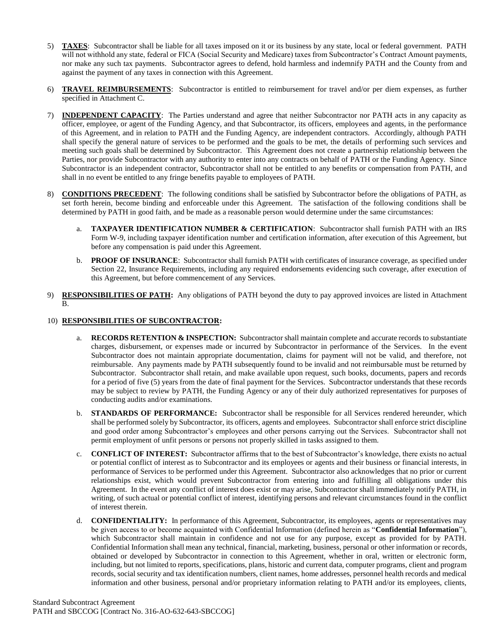- 5) **TAXES**: Subcontractor shall be liable for all taxes imposed on it or its business by any state, local or federal government. PATH will not withhold any state, federal or FICA (Social Security and Medicare) taxes from Subcontractor's Contract Amount payments, nor make any such tax payments. Subcontractor agrees to defend, hold harmless and indemnify PATH and the County from and against the payment of any taxes in connection with this Agreement.
- 6) **TRAVEL REIMBURSEMENTS**: Subcontractor is entitled to reimbursement for travel and/or per diem expenses, as further specified in Attachment C.
- 7) **INDEPENDENT CAPACITY**: The Parties understand and agree that neither Subcontractor nor PATH acts in any capacity as officer, employee, or agent of the Funding Agency, and that Subcontractor, its officers, employees and agents, in the performance of this Agreement, and in relation to PATH and the Funding Agency, are independent contractors. Accordingly, although PATH shall specify the general nature of services to be performed and the goals to be met, the details of performing such services and meeting such goals shall be determined by Subcontractor. This Agreement does not create a partnership relationship between the Parties, nor provide Subcontractor with any authority to enter into any contracts on behalf of PATH or the Funding Agency. Since Subcontractor is an independent contractor, Subcontractor shall not be entitled to any benefits or compensation from PATH, and shall in no event be entitled to any fringe benefits payable to employees of PATH.
- 8) **CONDITIONS PRECEDENT**: The following conditions shall be satisfied by Subcontractor before the obligations of PATH, as set forth herein, become binding and enforceable under this Agreement. The satisfaction of the following conditions shall be determined by PATH in good faith, and be made as a reasonable person would determine under the same circumstances:
	- a. **TAXPAYER IDENTIFICATION NUMBER & CERTIFICATION**: Subcontractor shall furnish PATH with an IRS Form W-9, including taxpayer identification number and certification information, after execution of this Agreement, but before any compensation is paid under this Agreement.
	- b. **PROOF OF INSURANCE**: Subcontractor shall furnish PATH with certificates of insurance coverage, as specified under Section 22, Insurance Requirements, including any required endorsements evidencing such coverage, after execution of this Agreement, but before commencement of any Services.
- 9) **RESPONSIBILITIES OF PATH:** Any obligations of PATH beyond the duty to pay approved invoices are listed in Attachment B.

#### 10) **RESPONSIBILITIES OF SUBCONTRACTOR:**

- a. **RECORDS RETENTION & INSPECTION:** Subcontractor shall maintain complete and accurate records to substantiate charges, disbursement, or expenses made or incurred by Subcontractor in performance of the Services. In the event Subcontractor does not maintain appropriate documentation, claims for payment will not be valid, and therefore, not reimbursable. Any payments made by PATH subsequently found to be invalid and not reimbursable must be returned by Subcontractor. Subcontractor shall retain, and make available upon request, such books, documents, papers and records for a period of five (5) years from the date of final payment for the Services. Subcontractor understands that these records may be subject to review by PATH, the Funding Agency or any of their duly authorized representatives for purposes of conducting audits and/or examinations.
- b. **STANDARDS OF PERFORMANCE:** Subcontractor shall be responsible for all Services rendered hereunder, which shall be performed solely by Subcontractor, its officers, agents and employees. Subcontractor shall enforce strict discipline and good order among Subcontractor's employees and other persons carrying out the Services. Subcontractor shall not permit employment of unfit persons or persons not properly skilled in tasks assigned to them.
- c. **CONFLICT OF INTEREST:** Subcontractor affirms that to the best of Subcontractor's knowledge, there exists no actual or potential conflict of interest as to Subcontractor and its employees or agents and their business or financial interests, in performance of Services to be performed under this Agreement. Subcontractor also acknowledges that no prior or current relationships exist, which would prevent Subcontractor from entering into and fulfilling all obligations under this Agreement. In the event any conflict of interest does exist or may arise, Subcontractor shall immediately notify PATH, in writing, of such actual or potential conflict of interest, identifying persons and relevant circumstances found in the conflict of interest therein.
- d. **CONFIDENTIALITY:** In performance of this Agreement, Subcontractor, its employees, agents or representatives may be given access to or become acquainted with Confidential Information (defined herein as "**Confidential Information**"), which Subcontractor shall maintain in confidence and not use for any purpose, except as provided for by PATH. Confidential Information shall mean any technical, financial, marketing, business, personal or other information or records, obtained or developed by Subcontractor in connection to this Agreement, whether in oral, written or electronic form, including, but not limited to reports, specifications, plans, historic and current data, computer programs, client and program records, social security and tax identification numbers, client names, home addresses, personnel health records and medical information and other business, personal and/or proprietary information relating to PATH and/or its employees, clients,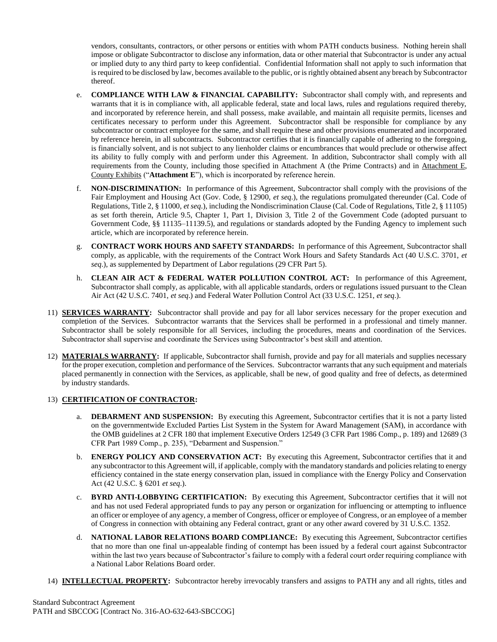vendors, consultants, contractors, or other persons or entities with whom PATH conducts business. Nothing herein shall impose or obligate Subcontractor to disclose any information, data or other material that Subcontractor is under any actual or implied duty to any third party to keep confidential. Confidential Information shall not apply to such information that is required to be disclosed by law, becomes available to the public, or is rightly obtained absent any breach by Subcontractor thereof.

- e. **COMPLIANCE WITH LAW & FINANCIAL CAPABILITY:** Subcontractor shall comply with, and represents and warrants that it is in compliance with, all applicable federal, state and local laws, rules and regulations required thereby, and incorporated by reference herein, and shall possess, make available, and maintain all requisite permits, licenses and certificates necessary to perform under this Agreement. Subcontractor shall be responsible for compliance by any subcontractor or contract employee for the same, and shall require these and other provisions enumerated and incorporated by reference herein, in all subcontracts. Subcontractor certifies that it is financially capable of adhering to the foregoing, is financially solvent, and is not subject to any lienholder claims or encumbrances that would preclude or otherwise affect its ability to fully comply with and perform under this Agreement. In addition, Subcontractor shall comply with all requirements from the County, including those specified in Attachment A (the Prime Contracts) and in Attachment E, County Exhibits ("**Attachment E**"), which is incorporated by reference herein.
- f. **NON-DISCRIMINATION:** In performance of this Agreement, Subcontractor shall comply with the provisions of the Fair Employment and Housing Act (Gov. Code, § 12900, *et seq*.), the regulations promulgated thereunder (Cal. Code of Regulations, Title 2, § 11000, *et seq*.), including the Nondiscrimination Clause (Cal. Code of Regulations, Title 2, § 11105) as set forth therein, Article 9.5, Chapter 1, Part 1, Division 3, Title 2 of the Government Code (adopted pursuant to Government Code, §§ 11135–11139.5), and regulations or standards adopted by the Funding Agency to implement such article, which are incorporated by reference herein.
- g. **CONTRACT WORK HOURS AND SAFETY STANDARDS:** In performance of this Agreement, Subcontractor shall comply, as applicable, with the requirements of the Contract Work Hours and Safety Standards Act (40 U.S.C. 3701, *et seq*.), as supplemented by Department of Labor regulations (29 CFR Part 5).
- h. **CLEAN AIR ACT & FEDERAL WATER POLLUTION CONTROL ACT:** In performance of this Agreement, Subcontractor shall comply, as applicable, with all applicable standards, orders or regulations issued pursuant to the Clean Air Act (42 U.S.C. 7401, *et seq*.) and Federal Water Pollution Control Act (33 U.S.C. 1251, *et seq*.).
- 11) **SERVICES WARRANTY:** Subcontractor shall provide and pay for all labor services necessary for the proper execution and completion of the Services.Subcontractor warrants that the Services shall be performed in a professional and timely manner. Subcontractor shall be solely responsible for all Services, including the procedures, means and coordination of the Services. Subcontractor shall supervise and coordinate the Services using Subcontractor's best skill and attention.
- 12) **MATERIALS WARRANTY:** If applicable, Subcontractor shall furnish, provide and pay for all materials and supplies necessary for the proper execution, completion and performance of the Services. Subcontractor warrants that any such equipment and materials placed permanently in connection with the Services, as applicable, shall be new, of good quality and free of defects, as determined by industry standards.

#### 13) **CERTIFICATION OF CONTRACTOR:**

- a. **DEBARMENT AND SUSPENSION:** By executing this Agreement, Subcontractor certifies that it is not a party listed on the governmentwide Excluded Parties List System in the System for Award Management (SAM), in accordance with the OMB guidelines at 2 CFR 180 that implement Executive Orders 12549 (3 CFR Part 1986 Comp., p. 189) and 12689 (3 CFR Part 1989 Comp., p. 235), "Debarment and Suspension."
- b. **ENERGY POLICY AND CONSERVATION ACT:** By executing this Agreement, Subcontractor certifies that it and any subcontractor to this Agreement will, if applicable, comply with the mandatory standards and policies relating to energy efficiency contained in the state energy conservation plan, issued in compliance with the Energy Policy and Conservation Act (42 U.S.C. § 6201 *et seq*.).
- c. **BYRD ANTI-LOBBYING CERTIFICATION:** By executing this Agreement, Subcontractor certifies that it will not and has not used Federal appropriated funds to pay any person or organization for influencing or attempting to influence an officer or employee of any agency, a member of Congress, officer or employee of Congress, or an employee of a member of Congress in connection with obtaining any Federal contract, grant or any other award covered by 31 U.S.C. 1352.
- d. **NATIONAL LABOR RELATIONS BOARD COMPLIANCE:** By executing this Agreement, Subcontractor certifies that no more than one final un-appealable finding of contempt has been issued by a federal court against Subcontractor within the last two years because of Subcontractor's failure to comply with a federal court order requiring compliance with a National Labor Relations Board order.
- 14) **INTELLECTUAL PROPERTY:** Subcontractor hereby irrevocably transfers and assigns to PATH any and all rights, titles and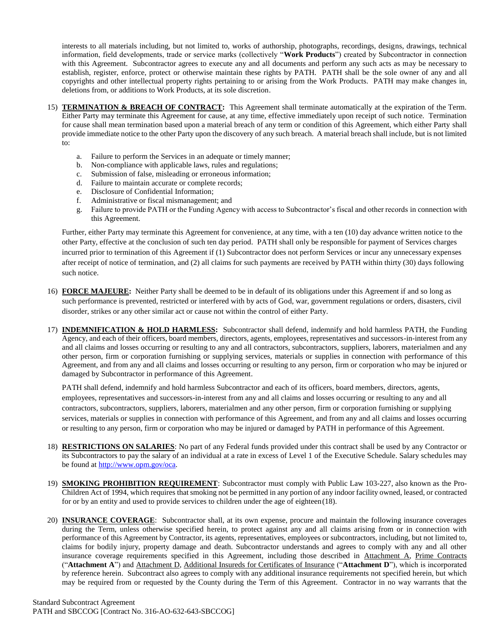interests to all materials including, but not limited to, works of authorship, photographs, recordings, designs, drawings, technical information, field developments, trade or service marks (collectively "**Work Products**") created by Subcontractor in connection with this Agreement. Subcontractor agrees to execute any and all documents and perform any such acts as may be necessary to establish, register, enforce, protect or otherwise maintain these rights by PATH. PATH shall be the sole owner of any and all copyrights and other intellectual property rights pertaining to or arising from the Work Products. PATH may make changes in, deletions from, or additions to Work Products, at its sole discretion.

- 15) **TERMINATION & BREACH OF CONTRACT:** This Agreement shall terminate automatically at the expiration of the Term. Either Party may terminate this Agreement for cause, at any time, effective immediately upon receipt of such notice. Termination for cause shall mean termination based upon a material breach of any term or condition of this Agreement, which either Party shall provide immediate notice to the other Party upon the discovery of any such breach. A material breach shall include, but is not limited to:
	- a. Failure to perform the Services in an adequate or timely manner;
	- b. Non-compliance with applicable laws, rules and regulations;
	- c. Submission of false, misleading or erroneous information;
	- d. Failure to maintain accurate or complete records;
	- e. Disclosure of Confidential Information;<br>f. Administrative or fiscal mismanagement
	- f. Administrative or fiscal mismanagement; and
	- g. Failure to provide PATH or the Funding Agency with access to Subcontractor's fiscal and other records in connection with this Agreement.

Further, either Party may terminate this Agreement for convenience, at any time, with a ten (10) day advance written notice to the other Party, effective at the conclusion of such ten day period. PATH shall only be responsible for payment of Services charges incurred prior to termination of this Agreement if (1) Subcontractor does not perform Services or incur any unnecessary expenses after receipt of notice of termination, and (2) all claims for such payments are received by PATH within thirty (30) days following such notice.

- 16) **FORCE MAJEURE:** Neither Party shall be deemed to be in default of its obligations under this Agreement if and so long as such performance is prevented, restricted or interfered with by acts of God, war, government regulations or orders, disasters, civil disorder, strikes or any other similar act or cause not within the control of either Party.
- 17) **INDEMNIFICATION & HOLD HARMLESS:** Subcontractor shall defend, indemnify and hold harmless PATH, the Funding Agency, and each of their officers, board members, directors, agents, employees, representatives and successors-in-interest from any and all claims and losses occurring or resulting to any and all contractors, subcontractors, suppliers, laborers, materialmen and any other person, firm or corporation furnishing or supplying services, materials or supplies in connection with performance of this Agreement, and from any and all claims and losses occurring or resulting to any person, firm or corporation who may be injured or damaged by Subcontractor in performance of this Agreement.

PATH shall defend, indemnify and hold harmless Subcontractor and each of its officers, board members, directors, agents, employees, representatives and successors-in-interest from any and all claims and losses occurring or resulting to any and all contractors, subcontractors, suppliers, laborers, materialmen and any other person, firm or corporation furnishing or supplying services, materials or supplies in connection with performance of this Agreement, and from any and all claims and losses occurring or resulting to any person, firm or corporation who may be injured or damaged by PATH in performance of this Agreement.

- 18) **RESTRICTIONS ON SALARIES**: No part of any Federal funds provided under this contract shall be used by any Contractor or its Subcontractors to pay the salary of an individual at a rate in excess of Level 1 of the Executive Schedule. Salary schedules may be found a[t http://www.opm.gov/oca.](http://www.opm.gov/oca)
- 19) **SMOKING PROHIBITION REQUIREMENT**: Subcontractor must comply with Public Law 103-227, also known as the Pro-Children Act of 1994, which requires that smoking not be permitted in any portion of any indoor facility owned, leased, or contracted for or by an entity and used to provide services to children under the age of eighteen(18).
- 20) **INSURANCE COVERAGE**: Subcontractor shall, at its own expense, procure and maintain the following insurance coverages during the Term, unless otherwise specified herein, to protect against any and all claims arising from or in connection with performance of this Agreement by Contractor, its agents, representatives, employees or subcontractors, including, but not limited to, claims for bodily injury, property damage and death. Subcontractor understands and agrees to comply with any and all other insurance coverage requirements specified in this Agreement, including those described in Attachment A, Prime Contracts ("**Attachment A**") and Attachment D, Additional Insureds for Certificates of Insurance ("**Attachment D**"), which is incorporated by reference herein. Subcontract also agrees to comply with any additional insurance requirements not specified herein, but which may be required from or requested by the County during the Term of this Agreement. Contractor in no way warrants that the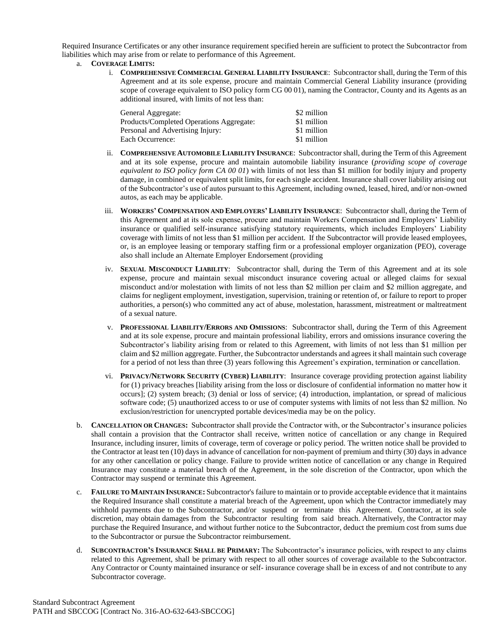Required Insurance Certificates or any other insurance requirement specified herein are sufficient to protect the Subcontractor from liabilities which may arise from or relate to performance of this Agreement.

- a. **COVERAGE LIMITS:**
	- i. **COMPREHENSIVE COMMERCIAL GENERAL LIABILITY INSURANCE**: Subcontractor shall, during the Term of this Agreement and at its sole expense, procure and maintain Commercial General Liability insurance (providing scope of coverage equivalent to ISO policy form CG 00 01), naming the Contractor, County and its Agents as an additional insured, with limits of not less than:

| General Aggregate:                       | \$2 million |
|------------------------------------------|-------------|
| Products/Completed Operations Aggregate: | \$1 million |
| Personal and Advertising Injury:         | \$1 million |
| Each Occurrence:                         | \$1 million |

- ii. **COMPREHENSIVE AUTOMOBILE LIABILITY INSURANCE**: Subcontractor shall, during the Term of this Agreement and at its sole expense, procure and maintain automobile liability insurance (*providing scope of coverage equivalent to ISO policy form CA 00 01*) with limits of not less than \$1 million for bodily injury and property damage, in combined or equivalent split limits, for each single accident. Insurance shall cover liability arising out of the Subcontractor's use of autos pursuant to this Agreement, including owned, leased, hired, and/or non-owned autos, as each may be applicable.
- iii. **WORKERS' COMPENSATION AND EMPLOYERS' LIABILITY INSURANCE**: Subcontractor shall, during the Term of this Agreement and at its sole expense, procure and maintain Workers Compensation and Employers' Liability insurance or qualified self-insurance satisfying statutory requirements, which includes Employers' Liability coverage with limits of not less than \$1 million per accident. If the Subcontractor will provide leased employees, or, is an employee leasing or temporary staffing firm or a professional employer organization (PEO), coverage also shall include an Alternate Employer Endorsement (providing
- iv. **SEXUAL MISCONDUCT LIABILITY**: Subcontractor shall, during the Term of this Agreement and at its sole expense, procure and maintain sexual misconduct insurance covering actual or alleged claims for sexual misconduct and/or molestation with limits of not less than \$2 million per claim and \$2 million aggregate, and claims for negligent employment, investigation, supervision, training or retention of, or failure to report to proper authorities, a person(s) who committed any act of abuse, molestation, harassment, mistreatment or maltreatment of a sexual nature.
- v. **PROFESSIONAL LIABILITY/ERRORS AND OMISSIONS**: Subcontractor shall, during the Term of this Agreement and at its sole expense, procure and maintain professional liability, errors and omissions insurance covering the Subcontractor's liability arising from or related to this Agreement, with limits of not less than \$1 million per claim and \$2 million aggregate. Further, the Subcontractor understands and agrees it shall maintain such coverage for a period of not less than three (3) years following this Agreement's expiration, termination or cancellation.
- vi. **PRIVACY/NETWORK SECURITY (CYBER) LIABILITY**: Insurance coverage providing protection against liability for (1) privacy breaches [liability arising from the loss or disclosure of confidential information no matter how it occurs]; (2) system breach; (3) denial or loss of service; (4) introduction, implantation, or spread of malicious software code; (5) unauthorized access to or use of computer systems with limits of not less than \$2 million. No exclusion/restriction for unencrypted portable devices/media may be on the policy.
- b. **CANCELLATION OR CHANGES:** Subcontractor shall provide the Contractor with, or the Subcontractor's insurance policies shall contain a provision that the Contractor shall receive, written notice of cancellation or any change in Required Insurance, including insurer, limits of coverage, term of coverage or policy period. The written notice shall be provided to the Contractor at least ten (10) days in advance of cancellation for non-payment of premium and thirty (30) days in advance for any other cancellation or policy change. Failure to provide written notice of cancellation or any change in Required Insurance may constitute a material breach of the Agreement, in the sole discretion of the Contractor, upon which the Contractor may suspend or terminate this Agreement.
- c. **FAILURE TO MAINTAIN INSURANCE:** Subcontractor's failure to maintain or to provide acceptable evidence that it maintains the Required Insurance shall constitute a material breach of the Agreement, upon which the Contractor immediately may withhold payments due to the Subcontractor, and/or suspend or terminate this Agreement. Contractor, at its sole discretion, may obtain damages from the Subcontractor resulting from said breach. Alternatively, the Contractor may purchase the Required Insurance, and without further notice to the Subcontractor, deduct the premium cost from sums due to the Subcontractor or pursue the Subcontractor reimbursement.
- d. **SUBCONTRACTOR'S INSURANCE SHALL BE PRIMARY:** The Subcontractor's insurance policies, with respect to any claims related to this Agreement, shall be primary with respect to all other sources of coverage available to the Subcontractor. Any Contractor or County maintained insurance or self- insurance coverage shall be in excess of and not contribute to any Subcontractor coverage.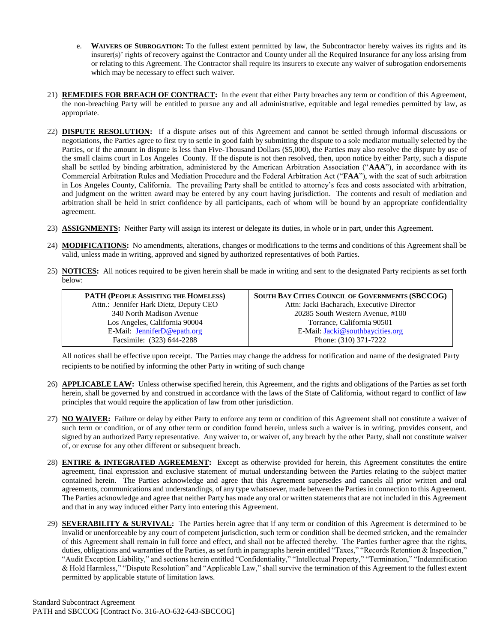- e. **WAIVERS OF SUBROGATION:** To the fullest extent permitted by law, the Subcontractor hereby waives its rights and its insurer(s)' rights of recovery against the Contractor and County under all the Required Insurance for any loss arising from or relating to this Agreement. The Contractor shall require its insurers to execute any waiver of subrogation endorsements which may be necessary to effect such waiver.
- 21) **REMEDIES FOR BREACH OF CONTRACT:** In the event that either Party breaches any term or condition of this Agreement, the non-breaching Party will be entitled to pursue any and all administrative, equitable and legal remedies permitted by law, as appropriate.
- 22) **DISPUTE RESOLUTION:** If a dispute arises out of this Agreement and cannot be settled through informal discussions or negotiations, the Parties agree to first try to settle in good faith by submitting the dispute to a sole mediator mutually selected by the Parties, or if the amount in dispute is less than Five-Thousand Dollars (\$5,000), the Parties may also resolve the dispute by use of the small claims court in Los Angeles County. If the dispute is not then resolved, then, upon notice by either Party, such a dispute shall be settled by binding arbitration, administered by the American Arbitration Association ("**AAA**"), in accordance with its Commercial Arbitration Rules and Mediation Procedure and the Federal Arbitration Act ("**FAA**"), with the seat of such arbitration in Los Angeles County, California. The prevailing Party shall be entitled to attorney's fees and costs associated with arbitration, and judgment on the written award may be entered by any court having jurisdiction. The contents and result of mediation and arbitration shall be held in strict confidence by all participants, each of whom will be bound by an appropriate confidentiality agreement.
- 23) **ASSIGNMENTS:** Neither Party will assign its interest or delegate its duties, in whole or in part, under this Agreement.
- 24) **MODIFICATIONS:** No amendments, alterations, changes or modifications to the terms and conditions of this Agreement shall be valid, unless made in writing, approved and signed by authorized representatives of both Parties.
- 25) **NOTICES:** All notices required to be given herein shall be made in writing and sent to the designated Party recipients as set forth below:

| <b>PATH (PEOPLE ASSISTING THE HOMELESS)</b> | <b>SOUTH BAY CITIES COUNCIL OF GOVERNMENTS (SBCCOG)</b> |
|---------------------------------------------|---------------------------------------------------------|
| Attn.: Jennifer Hark Dietz, Deputy CEO      | Attn: Jacki Bacharach, Executive Director               |
| 340 North Madison Avenue                    | 20285 South Western Avenue, #100                        |
| Los Angeles, California 90004               | Torrance, California 90501                              |
| E-Mail: JenniferD@epath.org                 | E-Mail: Jacki@southbaycities.org                        |
| Facsimile: (323) 644-2288                   | Phone: (310) 371-7222                                   |

All notices shall be effective upon receipt. The Parties may change the address for notification and name of the designated Party recipients to be notified by informing the other Party in writing of such change

- 26) **APPLICABLE LAW:** Unless otherwise specified herein, this Agreement, and the rights and obligations of the Parties as set forth herein, shall be governed by and construed in accordance with the laws of the State of California, without regard to conflict of law principles that would require the application of law from other jurisdiction.
- 27) **NO WAIVER:** Failure or delay by either Party to enforce any term or condition of this Agreement shall not constitute a waiver of such term or condition, or of any other term or condition found herein, unless such a waiver is in writing, provides consent, and signed by an authorized Party representative. Any waiver to, or waiver of, any breach by the other Party, shall not constitute waiver of, or excuse for any other different or subsequent breach.
- 28) **ENTIRE & INTEGRATED AGREEMENT:** Except as otherwise provided for herein, this Agreement constitutes the entire agreement, final expression and exclusive statement of mutual understanding between the Parties relating to the subject matter contained herein. The Parties acknowledge and agree that this Agreement supersedes and cancels all prior written and oral agreements, communications and understandings, of any type whatsoever, made between the Parties in connection to this Agreement. The Parties acknowledge and agree that neither Party has made any oral or written statements that are not included in this Agreement and that in any way induced either Party into entering this Agreement.
- 29) **SEVERABILITY & SURVIVAL:** The Parties herein agree that if any term or condition of this Agreement is determined to be invalid or unenforceable by any court of competent jurisdiction, such term or condition shall be deemed stricken, and the remainder of this Agreement shall remain in full force and effect, and shall not be affected thereby. The Parties further agree that the rights, duties, obligations and warranties of the Parties, as set forth in paragraphs herein entitled "Taxes," "Records Retention & Inspection," "Audit Exception Liability," and sections herein entitled "Confidentiality," "Intellectual Property," "Termination," "Indemnification & Hold Harmless," "Dispute Resolution" and "Applicable Law," shall survive the termination of this Agreement to the fullest extent permitted by applicable statute of limitation laws.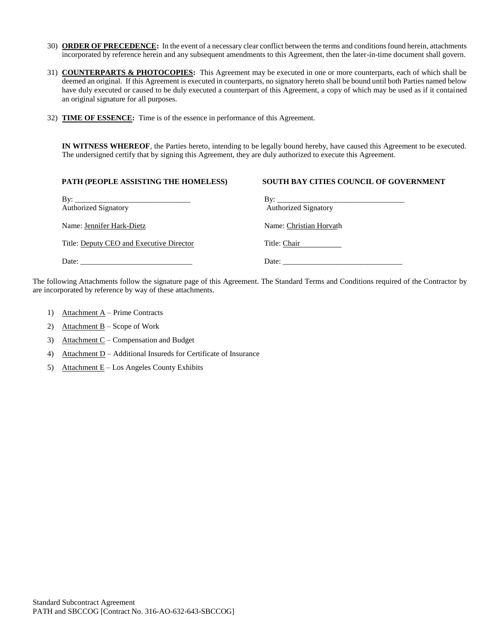- 30) **ORDER OF PRECEDENCE:** In the event of a necessary clear conflict between the terms and conditions found herein, attachments incorporated by reference herein and any subsequent amendments to this Agreement, then the later-in-time document shall govern.
- 31) **COUNTERPARTS & PHOTOCOPIES:** This Agreement may be executed in one or more counterparts, each of which shall be deemed an original. If this Agreement is executed in counterparts, no signatory hereto shall be bound until both Parties named below have duly executed or caused to be duly executed a counterpart of this Agreement, a copy of which may be used as if it contained an original signature for all purposes.
- 32) **TIME OF ESSENCE:** Time is of the essence in performance of this Agreement.

**IN WITNESS WHEREOF**, the Parties hereto, intending to be legally bound hereby, have caused this Agreement to be executed. The undersigned certify that by signing this Agreement, they are duly authorized to execute this Agreement.

| PATH (PEOPLE ASSISTING THE HOMELESS)               | <b>SOUTH BAY CITIES COUNCIL OF GOVERNMENT</b>                                                                                                                                                                                                                                                                                                                                                                                                     |
|----------------------------------------------------|---------------------------------------------------------------------------------------------------------------------------------------------------------------------------------------------------------------------------------------------------------------------------------------------------------------------------------------------------------------------------------------------------------------------------------------------------|
| By: $\qquad \qquad$<br><b>Authorized Signatory</b> | <b>Authorized Signatory</b>                                                                                                                                                                                                                                                                                                                                                                                                                       |
| Name: Jennifer Hark-Dietz                          | Name: Christian Horvath                                                                                                                                                                                                                                                                                                                                                                                                                           |
| Title: Deputy CEO and Executive Director           | Title: Chair                                                                                                                                                                                                                                                                                                                                                                                                                                      |
| Date: $\qquad \qquad$                              | Date: $\frac{1}{\sqrt{1-\frac{1}{2}} \cdot \frac{1}{\sqrt{1-\frac{1}{2}} \cdot \frac{1}{\sqrt{1-\frac{1}{2}} \cdot \frac{1}{\sqrt{1-\frac{1}{2}} \cdot \frac{1}{\sqrt{1-\frac{1}{2}} \cdot \frac{1}{\sqrt{1-\frac{1}{2}} \cdot \frac{1}{\sqrt{1-\frac{1}{2}} \cdot \frac{1}{\sqrt{1-\frac{1}{2}} \cdot \frac{1}{\sqrt{1-\frac{1}{2}} \cdot \frac{1}{\sqrt{1-\frac{1}{2}} \cdot \frac{1}{\sqrt{1-\frac{1}{2}} \cdot \frac{1}{\sqrt{1-\frac{1}{2}}$ |

The following Attachments follow the signature page of this Agreement. The Standard Terms and Conditions required of the Contractor by are incorporated by reference by way of these attachments.

- 1) Attachment A Prime Contracts
- 2) Attachment  $B -$  Scope of Work
- 3) Attachment C Compensation and Budget
- 4) Attachment D Additional Insureds for Certificate of Insurance
- 5) Attachment  $E$  Los Angeles County Exhibits